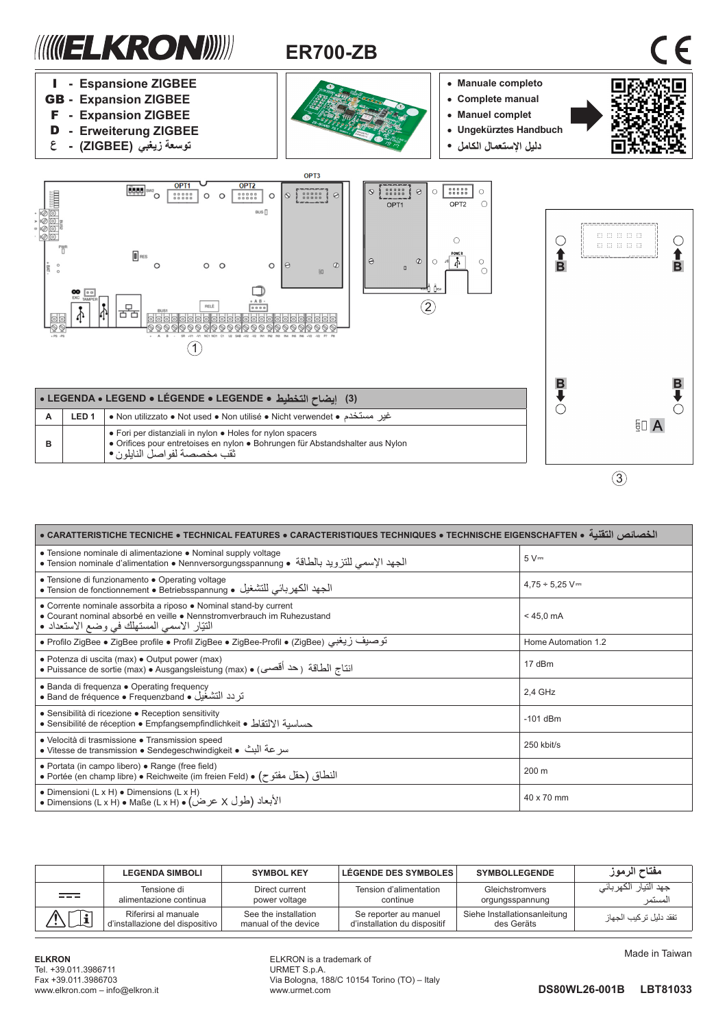

| الخصائص الثقنية • TECHNISCHE EIGENSCHAFTEN • TECHNICAL FEATURES • CARACTERISTIQUES TECHNIQUES • TECHNISCHE EIGENSCHAFTEN • الخصائص الثقنية                                                   |                            |  |  |  |
|----------------------------------------------------------------------------------------------------------------------------------------------------------------------------------------------|----------------------------|--|--|--|
| • Tensione nominale di alimentazione • Nominal supply voltage<br>الجهد الإسمي للنزويد بالطاقة • Tension nominale d'alimentation • Nennversorgungsspannung • •                                | $5V =$                     |  |  |  |
| • Tensione di funzionamento • Operating voltage<br>الجهد الكهربائي للتشغيل • Tension de fonctionnement • Betriebsspannung •                                                                  | $4,75 \div 5,25 \text{ V}$ |  |  |  |
| • Corrente nominale assorbita a riposo • Nominal stand-by current<br>• Courant nominal absorbé en veille • Nennstromverbrauch im Ruhezustand<br>النَّتِار الاسمى المستهلك في وضع الاستعداد • | $< 45.0 \text{ mA}$        |  |  |  |
| توصيف زيغبي (ZigBee) و Profilo ZigBee و ZigBee profile و Profilo ZigBee و Profilo ZigBee                                                                                                     | Home Automation 1.2        |  |  |  |
| • Potenza di uscita (max) • Output power (max)<br>انتاج الطاقة ( حد أقصى) • Puissance de sortie (max) • Ausgangsleistung (max) • الناج الطاقة (                                              | 17 dBm                     |  |  |  |
| • Banda di frequenza • Operating frequency<br>قريد التشغيل • Band de fréquence • Frequenzband •                                                                                              | 2,4 GHz                    |  |  |  |
| • Sensibilità di ricezione • Reception sensitivity<br>حساسية الالتقاط • Sensibilité de réception • Empfangsempfindlichkeit •                                                                 | $-101$ dBm                 |  |  |  |
| • Velocità di trasmissione • Transmission speed<br>سر عة البث • Vitesse de transmission • Sendegeschwindigkeit •                                                                             | 250 kbit/s                 |  |  |  |
| • Portata (in campo libero) • Range (free field)<br>• Portée (en champ libre) • Reichweite (im freien Feld) • (حقل مفتوح)                                                                    | 200 m                      |  |  |  |
| • Dimensioni $(L \times H)$ • Dimensions $(L \times H)$<br>• Dimensions (L x H) • Maße (L x H) • (2 كرض) • Dimensions (L x H) • Maße (L x H)                                                 | 40 x 70 mm                 |  |  |  |

|                | <b>LEGENDA SIMBOLI</b>                                  | <b>SYMBOL KEY</b>                            | LÉGENDE DES SYMBOLES                                  | <b>SYMBOLLEGENDE</b>                       | مفتاح الرموز                    |
|----------------|---------------------------------------------------------|----------------------------------------------|-------------------------------------------------------|--------------------------------------------|---------------------------------|
| $= -$          | Tensione di<br>alimentazione continua                   | Direct current<br>power voltage              | Tension d'alimentation<br>continue                    | Gleichstromvers<br>orgungsspannung         | جهد التيار الكهربائي<br>المستمر |
| $ \mathbf{i} $ | Riferirsi al manuale<br>d'installazione del dispositivo | See the installation<br>manual of the device | Se reporter au manuel<br>d'installation du dispositif | Siehe Installationsanleitung<br>des Geräts | تفقد دليل تر كيب الجهاز         |